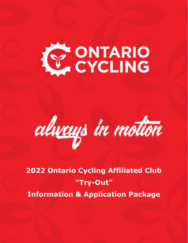



**2022 Ontario Cycling Affiliated Club "Try-Out" Information & Application Package**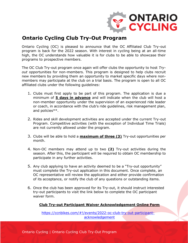

# **Ontario Cycling Club Try-Out Program**

Ontario Cycling (OC) is pleased to announce that the OC Affiliated Club Try-out program is back for the 2022 season. With interest in cycling being at an all-time high, the OC understands how valuable it is for clubs to be able to showcase their programs to prospective members.

The OC Club Try-out program once again will offer clubs the opportunity to host *Tryout* opportunities for non-members. This program is designed to help clubs recruit new members by providing them an opportunity to market specific days where nonmembers may participate at the club on a trial basis. The program is open to all OC affiliated clubs under the following guidelines:

- 1. Clubs must first apply to be part of this program. The application is due a minimum of **5 days in advance** and will indicate when the club will host a non-member opportunity under the supervision of an experienced ride leader or coach, in accordance with the club's ride guidelines, risk management plan, and policies\*\*.
- 2. Rides and skill development activities are accepted under the current Try-out Program. Competitive activities (with the exception of Individual Time Trials) are not currently allowed under the program.
- 3. Clubs will be able to hold a **maximum of three (3)** Try-out opportunities per month.
- 4. Non-OC members may attend up to two **(2)** Try-out activities during the season. After this, the participant will be required to obtain OC membership to participate in any further activities.
- 5. Any club applying to have an activity deemed to be a "Try-out opportunity" must complete the Try-out application in this document. Once complete, an OC representative will review the application and either provide confirmation of its acceptance, or notify the club of any questions or outstanding items.
- 6. Once the club has been approved for its Try-out, it should instruct interested try-out participants to visit the link below to complete the OC participant waiver form.

### **Club Try-out Participant Waiver Acknowledgement Online Form**

[https://ccnbikes.com/#!/events/2022-oc-club-try-out-participant](https://ccnbikes.com/#!/events/2022-oc-club-try-out-participant-acknowledgement)[acknowledgement](https://ccnbikes.com/#!/events/2022-oc-club-try-out-participant-acknowledgement)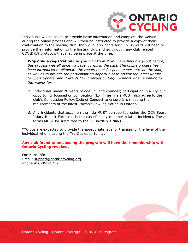

Individuals will be asked to provide basic information and complete the waiver during the online process and will then be instructed to provide a copy of their confirmation to the hosting club. Individual applicants for club Try-outs will need to provide their information to the hosting club and go through any club related COVID-19 protocols that may be in place at the time.

*Why online registration? As you may know if you have held a Try-out before, this process was all done via paper forms in the past. The online process has been introduced to eliminate the requirement for pens, paper, etc. on the spot, as well as to provide the participant an opportunity to review the latest Return to Sport Update, and Rowan's Law Concussion Requirements when agreeing to the waiver form.* 

- 7. Individuals under 26 years of age (25 and younger) participating in a Try-out opportunity focused on competition (Ex. Time Trial) MUST also agree to the club's Concussion Policy/Code of Conduct to ensure it is meeting the requirements of the latest Rowan's Law legislation in Ontario.
- 8. Any incidents that occur on the ride MUST be reported using the OCA Sport Injury Report Form (as is the case for any member related incident). These forms MUST be submitted to the OC **within 7 days**.

\*\*Clubs are expected to provide the appropriate level of training for the level of the individual who is taking the Try-Out opportunity.

#### **Any club found to be abusing the program will have their membership with Ontario Cycling revoked.**

For More Info: Email: [support@ontariocycling.org](mailto:support@ontariocycling.org) Phone 416-855-1717